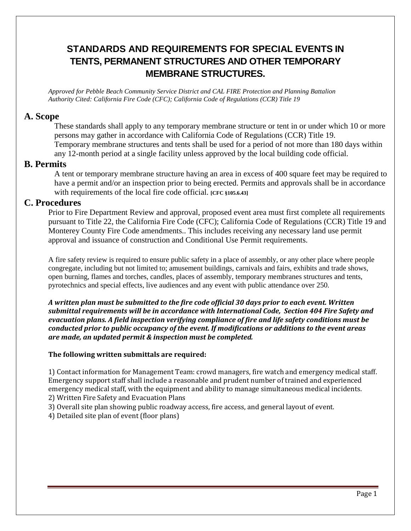# **STANDARDS AND REQUIREMENTS FOR SPECIAL EVENTS IN TENTS, PERMANENT STRUCTURES AND OTHER TEMPORARY MEMBRANE STRUCTURES.**

*Approved for Pebble Beach Community Service District and CAL FIRE Protection and Planning Battalion Authority Cited: California Fire Code (CFC); California Code of Regulations (CCR) Title 19*

#### **A. Scope**

 These standards shall apply to any temporary membrane structure or tent in or under which 10 or more persons may gather in accordance with California Code of Regulations (CCR) Title 19. Temporary membrane structures and tents shall be used for a period of not more than 180 days within any 12-month period at a single facility unless approved by the local building code official.

#### **B. Permits**

 A tent or temporary membrane structure having an area in excess of 400 square feet may be required to have a permit and/or an inspection prior to being erected. Permits and approvals shall be in accordance with requirements of the local fire code official. *[CFC §105.6.43]* 

#### **C. Procedures**

Prior to Fire Department Review and approval, proposed event area must first complete all requirements pursuant to Title 22, the California Fire Code (CFC); California Code of Regulations (CCR) Title 19 and Monterey County Fire Code amendments.. This includes receiving any necessary land use permit approval and issuance of construction and Conditional Use Permit requirements.

A fire safety review is required to ensure public safety in a place of assembly, or any other place where people congregate, including but not limited to; amusement buildings, carnivals and fairs, exhibits and trade shows, open burning, flames and torches, candles, places of assembly, temporary membranes structures and tents, pyrotechnics and special effects, live audiences and any event with public attendance over 250.

*A written plan must be submitted to the fire code official 30 days prior to each event. Written submittal requirements will be in accordance with International Code, Section 404 Fire Safety and evacuation plans. A field inspection verifying compliance of fire and life safety conditions must be conducted prior to public occupancy of the event. If modifications or additions to the event areas are made, an updated permit & inspection must be completed.* 

#### **The following written submittals are required:**

1) Contact information for Management Team: crowd managers, fire watch and emergency medical staff. Emergency support staff shall include a reasonable and prudent number of trained and experienced emergency medical staff, with the equipment and ability to manage simultaneous medical incidents. 2) Written Fire Safety and Evacuation Plans

3) Overall site plan showing public roadway access, fire access, and general layout of event.

4) Detailed site plan of event (floor plans)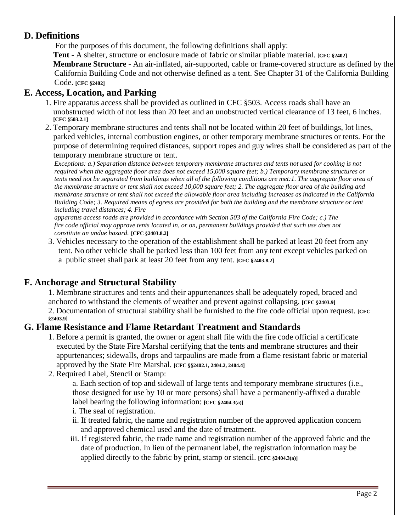## **D. Definitions**

For the purposes of this document, the following definitions shall apply:

 **Tent -** A shelter, structure or enclosure made of fabric or similar pliable material. **[CFC §2402] Membrane Structure -** An air-inflated, air-supported, cable or frame-covered structure as defined by the California Building Code and not otherwise defined as a tent. See Chapter 31 of the California Building Code. **[CFC §2402]**

## **E. Access, Location, and Parking**

- 1. Fire apparatus access shall be provided as outlined in CFC §503. Access roads shall have an unobstructed width of not less than 20 feet and an unobstructed vertical clearance of 13 feet, 6 inches. **[CFC §503.2.1]**
- 2. Temporary membrane structures and tents shall not be located within 20 feet of buildings, lot lines, parked vehicles, internal combustion engines, or other temporary membrane structures or tents. For the purpose of determining required distances, support ropes and guy wires shall be considered as part of the temporary membrane structure or tent.

*Exceptions: a.) Separation distance between temporary membrane structures and tents not used for cooking is not required when the aggregate floor area does not exceed 15,000 square feet; b.) Temporary membrane structures or tents need not be separated from buildings when all of the following conditions are met:1. The aggregate floor area of the membrane structure or tent shall not exceed 10,000 square feet; 2. The aggregate floor area of the building and membrane structure or tent shall not exceed the allowable floor area including increases as indicated in the California Building Code; 3. Required means of egress are provided for both the building and the membrane structure or tent including travel distances; 4. Fire*

*apparatus access roads are provided in accordance with Section 503 of the California Fire Code; c.) The fire code official may approve tents located in, or on, permanent buildings provided that such use does not constitute an undue hazard.* **[CFC §2403.8.2]**

3. Vehicles necessary to the operation of the establishment shall be parked at least 20 feet from any tent. No other vehicle shall be parked less than 100 feet from any tent except vehicles parked on a public street shall park at least 20 feet from any tent. **[CFC §2403.8.2]**

## **F. Anchorage and Structural Stability**

1. Membrane structures and tents and their appurtenances shall be adequately roped, braced and anchored to withstand the elements of weather and prevent against collapsing. **[CFC §2403.9]** 2. Documentation of structural stability shall be furnished to the fire code official upon request. **[CFC §2403.9]**

## **G. Flame Resistance and Flame Retardant Treatment and Standards**

- 1. Before a permit is granted, the owner or agent shall file with the fire code official a certificate executed by the State Fire Marshal certifying that the tents and membrane structures and their appurtenances; sidewalls, drops and tarpaulins are made from a flame resistant fabric or material approved by the State Fire Marshal. **[CFC §§2402.1, 2404.2, 2404.4]**
- 2. Required Label, Stencil or Stamp:

a. Each section of top and sidewall of large tents and temporary membrane structures (i.e., those designed for use by 10 or more persons) shall have a permanently-affixed a durable label bearing the following information: **[CFC §2404.3(a)**]

- i. The seal of registration.
- ii. If treated fabric, the name and registration number of the approved application concern and approved chemical used and the date of treatment.
- iii. If registered fabric, the trade name and registration number of the approved fabric and the date of production. In lieu of the permanent label, the registration information may be applied directly to the fabric by print, stamp or stencil. **[CFC §2404.3(a)]**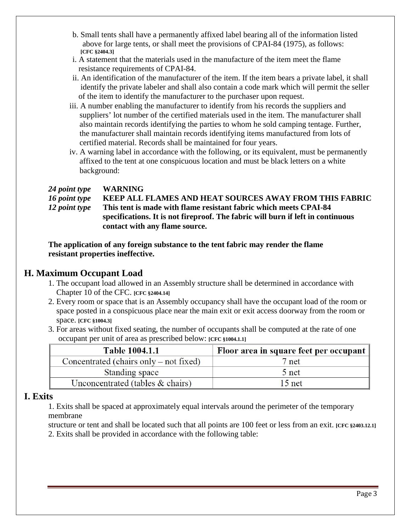- b. Small tents shall have a permanently affixed label bearing all of the information listed above for large tents, or shall meet the provisions of CPAI-84 (1975), as follows: **[CFC §2404.3]**
- i. A statement that the materials used in the manufacture of the item meet the flame resistance requirements of CPAI-84.
- ii. An identification of the manufacturer of the item. If the item bears a private label, it shall identify the private labeler and shall also contain a code mark which will permit the seller of the item to identify the manufacturer to the purchaser upon request.
- iii. A number enabling the manufacturer to identify from his records the suppliers and suppliers' lot number of the certified materials used in the item. The manufacturer shall also maintain records identifying the parties to whom he sold camping tentage. Further, the manufacturer shall maintain records identifying items manufactured from lots of certified material. Records shall be maintained for four years.
- iv. A warning label in accordance with the following, or its equivalent, must be permanently affixed to the tent at one conspicuous location and must be black letters on a white background:

### *24 point type* **WARNING** *16 point type* **KEEP ALL FLAMES AND HEAT SOURCES AWAY FROM THIS FABRIC** *12 point type* **This tent is made with flame resistant fabric which meets CPAI-84 specifications. It is not fireproof. The fabric will burn if left in continuous contact with any flame source.**

**The application of any foreign substance to the tent fabric may render the flame resistant properties ineffective.**

## **H. Maximum Occupant Load**

- 1. The occupant load allowed in an Assembly structure shall be determined in accordance with Chapter 10 of the CFC. **[CFC §2404.14]**
- 2. Every room or space that is an Assembly occupancy shall have the occupant load of the room or space posted in a conspicuous place near the main exit or exit access doorway from the room or space. **[CFC §1004.3]**
- 3. For areas without fixed seating, the number of occupants shall be computed at the rate of one occupant per unit of area as prescribed below: **[CFC §1004.1.1]**

| <b>Table 1004.1.1</b>                    | Floor area in square feet per occupant |  |
|------------------------------------------|----------------------------------------|--|
| Concentrated (chairs only $-$ not fixed) | 7 net                                  |  |
| Standing space                           | 5 net                                  |  |
| Unconcentrated (tables $&$ chairs)       | $15$ net                               |  |

## **I. Exits**

1. Exits shall be spaced at approximately equal intervals around the perimeter of the temporary membrane

structure or tent and shall be located such that all points are 100 feet or less from an exit. **[CFC §2403.12.1**] 2. Exits shall be provided in accordance with the following table: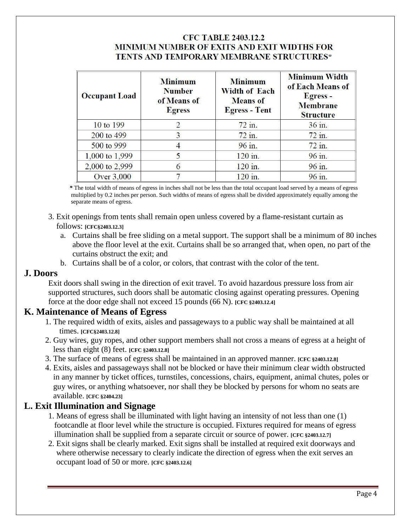### **CFC TABLE 2403.12.2 MINIMUM NUMBER OF EXITS AND EXIT WIDTHS FOR** TENTS AND TEMPORARY MEMBRANE STRUCTURES\*

| <b>Occupant Load</b> | <b>Minimum</b><br><b>Number</b><br>of Means of<br><b>Egress</b> | <b>Minimum</b><br><b>Width of Each</b><br><b>Means of</b><br><b>Egress - Tent</b> | <b>Minimum Width</b><br>of Each Means of<br>Egress -<br><b>Membrane</b><br><b>Structure</b> |
|----------------------|-----------------------------------------------------------------|-----------------------------------------------------------------------------------|---------------------------------------------------------------------------------------------|
| 10 to 199            |                                                                 | 72 in.                                                                            | 36 in.                                                                                      |
| 200 to 499           | 3                                                               | $72$ in.                                                                          | $72$ in.                                                                                    |
| 500 to 999           |                                                                 | 96 in.                                                                            | $72$ in.                                                                                    |
| 1,000 to 1,999       |                                                                 | 120 in.                                                                           | 96 in.                                                                                      |
| 2,000 to 2,999       |                                                                 | 120 in.                                                                           | 96 in.                                                                                      |
| Over 3,000           |                                                                 | 120 in.                                                                           | 96 in.                                                                                      |

 *\** The total width of means of egress in inches shall not be less than the total occupant load served by a means of egress multiplied by 0.2 inches per person. Such widths of means of egress shall be divided approximately equally among the separate means of egress.

- 3. Exit openings from tents shall remain open unless covered by a flame-resistant curtain as follows: **[CFC§2403.12.3]**
	- a. Curtains shall be free sliding on a metal support. The support shall be a minimum of 80 inches above the floor level at the exit. Curtains shall be so arranged that, when open, no part of the curtains obstruct the exit; and
	- b. Curtains shall be of a color, or colors, that contrast with the color of the tent.

### **J. Doors**

Exit doors shall swing in the direction of exit travel. To avoid hazardous pressure loss from air supported structures, such doors shall be automatic closing against operating pressures. Opening force at the door edge shall not exceed 15 pounds (66 N). **[CFC §2403.12.4]**

### **K. Maintenance of Means of Egress**

- 1. The required width of exits, aisles and passageways to a public way shall be maintained at all times. **[CFC§2403.12.8]**
- 2. Guy wires, guy ropes, and other support members shall not cross a means of egress at a height of less than eight (8) feet. **[CFC §2403.12.8]**
- 3. The surface of means of egress shall be maintained in an approved manner. **[CFC §2403.12.8]**
- 4. Exits, aisles and passageways shall not be blocked or have their minimum clear width obstructed in any manner by ticket offices, turnstiles, concessions, chairs, equipment, animal chutes, poles or guy wires, or anything whatsoever, nor shall they be blocked by persons for whom no seats are available. **[CFC §2404.23]**

### **L. Exit Illumination and Signage**

- 1. Means of egress shall be illuminated with light having an intensity of not less than one (1) footcandle at floor level while the structure is occupied. Fixtures required for means of egress illumination shall be supplied from a separate circuit or source of power. **[CFC §2403.12.7]**
- 2. Exit signs shall be clearly marked. Exit signs shall be installed at required exit doorways and where otherwise necessary to clearly indicate the direction of egress when the exit serves an occupant load of 50 or more. **[CFC §2403.12.6]**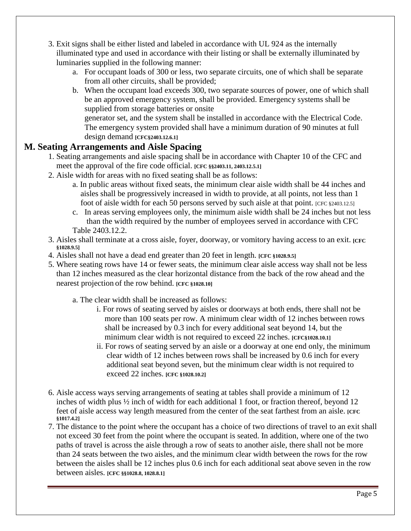- 3. Exit signs shall be either listed and labeled in accordance with UL 924 as the internally illuminated type and used in accordance with their listing or shall be externally illuminated by luminaries supplied in the following manner:
	- a. For occupant loads of 300 or less, two separate circuits, one of which shall be separate from all other circuits, shall be provided;
	- b. When the occupant load exceeds 300, two separate sources of power, one of which shall be an approved emergency system, shall be provided. Emergency systems shall be supplied from storage batteries or onsite generator set, and the system shall be installed in accordance with the Electrical Code. The emergency system provided shall have a minimum duration of 90 minutes at full design demand **[CFC§2403.12.6.1]**

## **M. Seating Arrangements and Aisle Spacing**

- 1. Seating arrangements and aisle spacing shall be in accordance with Chapter 10 of the CFC and meet the approval of the fire code official. **[CFC §§2403.11, 2403.12.5.1]**
- 2. Aisle width for areas with no fixed seating shall be as follows:
	- a. In public areas without fixed seats, the minimum clear aisle width shall be 44 inches and aisles shall be progressively increased in width to provide, at all points, not less than 1 foot of aisle width for each 50 persons served by such aisle at that point. [CFC §2403.12.5]
	- c. In areas serving employees only, the minimum aisle width shall be 24 inches but not less than the width required by the number of employees served in accordance with CFC

Table 2403.12.2.

- 3. Aisles shall terminate at a cross aisle, foyer, doorway, or vomitory having access to an exit. **[CFC §1028.9.5]**
- 4. Aisles shall not have a dead end greater than 20 feet in length. **[CFC §1028.9.5]**
- 5. Where seating rows have 14 or fewer seats, the minimum clear aisle access way shall not be less than 12 inches measured as the clear horizontal distance from the back of the row ahead and the nearest projection of the row behind. **[CFC §1028.10]**
	- a. The clear width shall be increased as follows:
		- i. For rows of seating served by aisles or doorways at both ends, there shall not be more than 100 seats per row. A minimum clear width of 12 inches between rows shall be increased by 0.3 inch for every additional seat beyond 14, but the minimum clear width is not required to exceed 22 inches. **[CFC§1028.10.1]**
		- ii. For rows of seating served by an aisle or a doorway at one end only, the minimum clear width of 12 inches between rows shall be increased by 0.6 inch for every additional seat beyond seven, but the minimum clear width is not required to exceed 22 inches. **[CFC §1028.10.2]**
- 6. Aisle access ways serving arrangements of seating at tables shall provide a minimum of 12 inches of width plus ½ inch of width for each additional 1 foot, or fraction thereof, beyond 12 feet of aisle access way length measured from the center of the seat farthest from an aisle. **[CFC §1017.4.2]**
- 7. The distance to the point where the occupant has a choice of two directions of travel to an exit shall not exceed 30 feet from the point where the occupant is seated. In addition, where one of the two paths of travel is across the aisle through a row of seats to another aisle, there shall not be more than 24 seats between the two aisles, and the minimum clear width between the rows for the row between the aisles shall be 12 inches plus 0.6 inch for each additional seat above seven in the row between aisles. **[CFC §§1028.8, 1028.8.1]**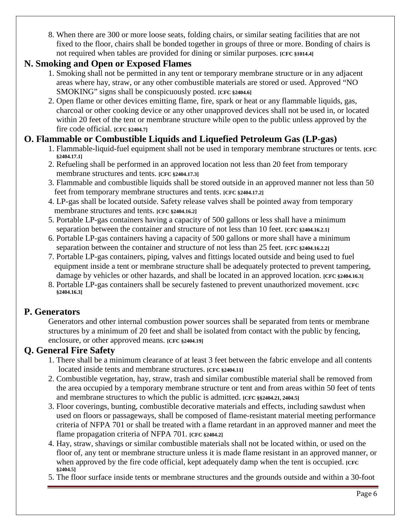8. When there are 300 or more loose seats, folding chairs, or similar seating facilities that are not fixed to the floor, chairs shall be bonded together in groups of three or more. Bonding of chairs is not required when tables are provided for dining or similar purposes. **[CFC §1014.4]**

## **N. Smoking and Open or Exposed Flames**

- 1. Smoking shall not be permitted in any tent or temporary membrane structure or in any adjacent areas where hay, straw, or any other combustible materials are stored or used. Approved "NO SMOKING" signs shall be conspicuously posted. **[CFC §2404.6]**
- 2. Open flame or other devices emitting flame, fire, spark or heat or any flammable liquids, gas, charcoal or other cooking device or any other unapproved devices shall not be used in, or located within 20 feet of the tent or membrane structure while open to the public unless approved by the fire code official. **[CFC §2404.7]**

# **O. Flammable or Combustible Liquids and Liquefied Petroleum Gas (LP-gas)**

- 1. Flammable-liquid-fuel equipment shall not be used in temporary membrane structures or tents. **[CFC §2404.17.1]**
- 2. Refueling shall be performed in an approved location not less than 20 feet from temporary membrane structures and tents. **[CFC §2404.17.3]**
- 3. Flammable and combustible liquids shall be stored outside in an approved manner not less than 50 feet from temporary membrane structures and tents. **[CFC §2404.17.2]**
- 4. LP-gas shall be located outside. Safety release valves shall be pointed away from temporary membrane structures and tents. **[CFC §2404.16.2]**
- 5. Portable LP-gas containers having a capacity of 500 gallons or less shall have a minimum separation between the container and structure of not less than 10 feet. **[CFC §2404.16.2.1]**
- 6. Portable LP-gas containers having a capacity of 500 gallons or more shall have a minimum separation between the container and structure of not less than 25 feet. **[CFC §2404.16.2.2]**
- 7. Portable LP-gas containers, piping, valves and fittings located outside and being used to fuel equipment inside a tent or membrane structure shall be adequately protected to prevent tampering, damage by vehicles or other hazards, and shall be located in an approved location. **[CFC §2404.16.3]**
- 8. Portable LP-gas containers shall be securely fastened to prevent unauthorized movement. **[CFC §2404.16.3]**

# **P. Generators**

Generators and other internal combustion power sources shall be separated from tents or membrane structures by a minimum of 20 feet and shall be isolated from contact with the public by fencing, enclosure, or other approved means. **[CFC §2404.19]**

# **Q. General Fire Safety**

- 1. There shall be a minimum clearance of at least 3 feet between the fabric envelope and all contents located inside tents and membrane structures. **[CFC §2404.11]**
- 2. Combustible vegetation, hay, straw, trash and similar combustible material shall be removed from the area occupied by a temporary membrane structure or tent and from areas within 50 feet of tents and membrane structures to which the public is admitted. **[CFC §§2404.21, 2404.5]**
- 3. Floor coverings, bunting, combustible decorative materials and effects, including sawdust when used on floors or passageways, shall be composed of flame-resistant material meeting performance criteria of NFPA 701 or shall be treated with a flame retardant in an approved manner and meet the flame propagation criteria of NFPA 701. **[CFC §2404.2]**
- 4. Hay, straw, shavings or similar combustible materials shall not be located within, or used on the floor of, any tent or membrane structure unless it is made flame resistant in an approved manner, or when approved by the fire code official, kept adequately damp when the tent is occupied. **[CFC**]  **§2404.5]**
- 5. The floor surface inside tents or membrane structures and the grounds outside and within a 30-foot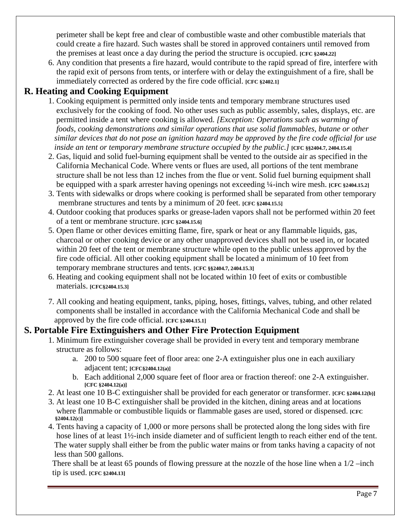perimeter shall be kept free and clear of combustible waste and other combustible materials that could create a fire hazard. Such wastes shall be stored in approved containers until removed from the premises at least once a day during the period the structure is occupied. **[CFC §2404.22]**

6. Any condition that presents a fire hazard, would contribute to the rapid spread of fire, interfere with the rapid exit of persons from tents, or interfere with or delay the extinguishment of a fire, shall be immediately corrected as ordered by the fire code official. **[CFC §2402.1]**

# **R. Heating and Cooking Equipment**

- 1. Cooking equipment is permitted only inside tents and temporary membrane structures used exclusively for the cooking of food. No other uses such as public assembly, sales, displays, etc. are permitted inside a tent where cooking is allowed. *[Exception: Operations such as warming of foods, cooking demonstrations and similar operations that use solid flammables, butane or other similar devices that do not pose an ignition hazard may be approved by the fire code official for use inside an tent or temporary membrane structure occupied by the public.]* **[CFC §§2404.7, 2404.15.4]**
- 2. Gas, liquid and solid fuel-burning equipment shall be vented to the outside air as specified in the California Mechanical Code. Where vents or flues are used, all portions of the tent membrane structure shall be not less than 12 inches from the flue or vent. Solid fuel burning equipment shall be equipped with a spark arrester having openings not exceeding ¼-inch wire mesh. **[CFC §2404.15.2]**
- 3. Tents with sidewalks or drops where cooking is performed shall be separated from other temporary membrane structures and tents by a minimum of 20 feet. **[CFC §2404.15.5**]
- 4. Outdoor cooking that produces sparks or grease-laden vapors shall not be performed within 20 feet of a tent or membrane structure. **[CFC §2404.15.6]**
- 5. Open flame or other devices emitting flame, fire, spark or heat or any flammable liquids, gas, charcoal or other cooking device or any other unapproved devices shall not be used in, or located within 20 feet of the tent or membrane structure while open to the public unless approved by the fire code official. All other cooking equipment shall be located a minimum of 10 feet from temporary membrane structures and tents. **[CFC §§2404.7, 2404.15.3]**
- 6. Heating and cooking equipment shall not be located within 10 feet of exits or combustible materials. **[CFC§2404.15.3]**
- 7. All cooking and heating equipment, tanks, piping, hoses, fittings, valves, tubing, and other related components shall be installed in accordance with the California Mechanical Code and shall be approved by the fire code official. **[CFC §2404.15.1]**

## **S. Portable Fire Extinguishers and Other Fire Protection Equipment**

- 1. Minimum fire extinguisher coverage shall be provided in every tent and temporary membrane structure as follows:
	- a. 200 to 500 square feet of floor area: one 2-A extinguisher plus one in each auxiliary adjacent tent; **[CFC§2404.12(a)]**
	- b. Each additional 2,000 square feet of floor area or fraction thereof: one 2-A extinguisher. **[CFC §2404.12(a)]**
- 2. At least one 10 B-C extinguisher shall be provided for each generator or transformer. **[CFC §2404.12(b)]**
- 3. At least one 10 B-C extinguisher shall be provided in the kitchen, dining areas and at locations where flammable or combustible liquids or flammable gases are used, stored or dispensed. **[CFC §2404.12(c)]**
- 4. Tents having a capacity of 1,000 or more persons shall be protected along the long sides with fire hose lines of at least 1<sup>1/2</sup>-inch inside diameter and of sufficient length to reach either end of the tent. The water supply shall either be from the public water mains or from tanks having a capacity of not less than 500 gallons.

There shall be at least 65 pounds of flowing pressure at the nozzle of the hose line when a  $1/2$  –inch tip is used. **[CFC §2404.13]**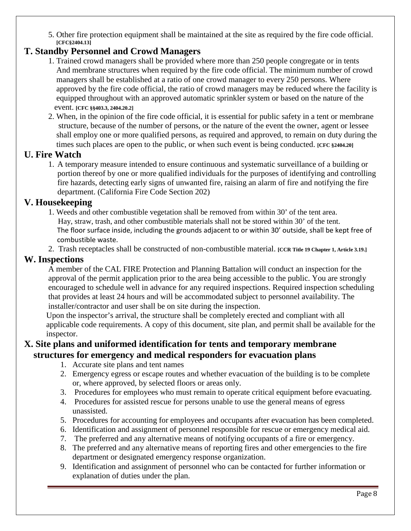5. Other fire protection equipment shall be maintained at the site as required by the fire code official. **[CFC§2404.13]**

# **T. Standby Personnel and Crowd Managers**

- 1. Trained crowd managers shall be provided where more than 250 people congregate or in tents And membrane structures when required by the fire code official. The minimum number of crowd managers shall be established at a ratio of one crowd manager to every 250 persons. Where approved by the fire code official, the ratio of crowd managers may be reduced where the facility is equipped throughout with an approved automatic sprinkler system or based on the nature of the event. **[CFC §§403.3, 2404.20.2]**
- 2. When, in the opinion of the fire code official, it is essential for public safety in a tent or membrane structure, because of the number of persons, or the nature of the event the owner, agent or lessee shall employ one or more qualified persons, as required and approved, to remain on duty during the times such places are open to the public, or when such event is being conducted. **[CFC §2404.20]**

## **U. Fire Watch**

1. A temporary measure intended to ensure continuous and systematic surveillance of a building or portion thereof by one or more qualified individuals for the purposes of identifying and controlling fire hazards, detecting early signs of unwanted fire, raising an alarm of fire and notifying the fire department. (California Fire Code Section 202)

## **V. Housekeeping**

- 1. Weeds and other combustible vegetation shall be removed from within 30' of the tent area. Hay, straw, trash, and other combustible materials shall not be stored within 30' of the tent. The floor surface inside, including the grounds adjacent to or within 30' outside, shall be kept free of combustible waste.
- 2. Trash receptacles shall be constructed of non-combustible material. **[CCR Title 19 Chapter 1, Article 3.19.]**

## **W. Inspections**

A member of the CAL FIRE Protection and Planning Battalion will conduct an inspection for the approval of the permit application prior to the area being accessible to the public. You are strongly encouraged to schedule well in advance for any required inspections. Required inspection scheduling that provides at least 24 hours and will be accommodated subject to personnel availability. The installer/contractor and user shall be on site during the inspection.

 Upon the inspector's arrival, the structure shall be completely erected and compliant with all applicable code requirements. A copy of this document, site plan, and permit shall be available for the inspector.

## **X. Site plans and uniformed identification for tents and temporary membrane structures for emergency and medical responders for evacuation plans**

- 1. Accurate site plans and tent names
- 2. Emergency egress or escape routes and whether evacuation of the building is to be complete or, where approved, by selected floors or areas only.
- 3. Procedures for employees who must remain to operate critical equipment before evacuating.
- 4. Procedures for assisted rescue for persons unable to use the general means of egress unassisted.
- 5. Procedures for accounting for employees and occupants after evacuation has been completed.
- 6. Identification and assignment of personnel responsible for rescue or emergency medical aid.
- 7. The preferred and any alternative means of notifying occupants of a fire or emergency.
- 8. The preferred and any alternative means of reporting fires and other emergencies to the fire department or designated emergency response organization.
- 9. Identification and assignment of personnel who can be contacted for further information or explanation of duties under the plan.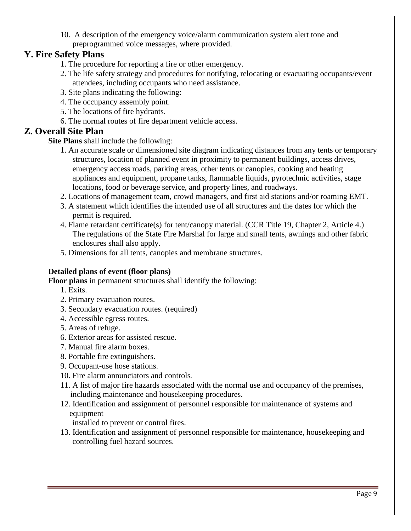10. A description of the emergency voice/alarm communication system alert tone and preprogrammed voice messages, where provided.

## **Y. Fire Safety Plans**

- 1. The procedure for reporting a fire or other emergency.
- 2. The life safety strategy and procedures for notifying, relocating or evacuating occupants/event attendees, including occupants who need assistance.
- 3. Site plans indicating the following:
- 4. The occupancy assembly point.
- 5. The locations of fire hydrants.
- 6. The normal routes of fire department vehicle access.

## **Z. Overall Site Plan**

- **Site Plans** shall include the following:
	- 1. An accurate scale or dimensioned site diagram indicating distances from any tents or temporary structures, location of planned event in proximity to permanent buildings, access drives, emergency access roads, parking areas, other tents or canopies, cooking and heating appliances and equipment, propane tanks, flammable liquids, pyrotechnic activities, stage locations, food or beverage service, and property lines, and roadways.
	- 2. Locations of management team, crowd managers, and first aid stations and/or roaming EMT.
	- 3. A statement which identifies the intended use of all structures and the dates for which the permit is required.
	- 4. Flame retardant certificate(s) for tent/canopy material. (CCR Title 19, Chapter 2, Article 4.) The regulations of the State Fire Marshal for large and small tents, awnings and other fabric enclosures shall also apply.
	- 5. Dimensions for all tents, canopies and membrane structures.

### **Detailed plans of event (floor plans)**

**Floor plans** in permanent structures shall identify the following:

- 1. Exits.
- 2. Primary evacuation routes.
- 3. Secondary evacuation routes. (required)
- 4. Accessible egress routes.
- 5. Areas of refuge.
- 6. Exterior areas for assisted rescue.
- 7. Manual fire alarm boxes.
- 8. Portable fire extinguishers.
- 9. Occupant-use hose stations.
- 10. Fire alarm annunciators and controls.
- 11. A list of major fire hazards associated with the normal use and occupancy of the premises, including maintenance and housekeeping procedures.
- 12. Identification and assignment of personnel responsible for maintenance of systems and equipment

installed to prevent or control fires.

13. Identification and assignment of personnel responsible for maintenance, housekeeping and controlling fuel hazard sources.